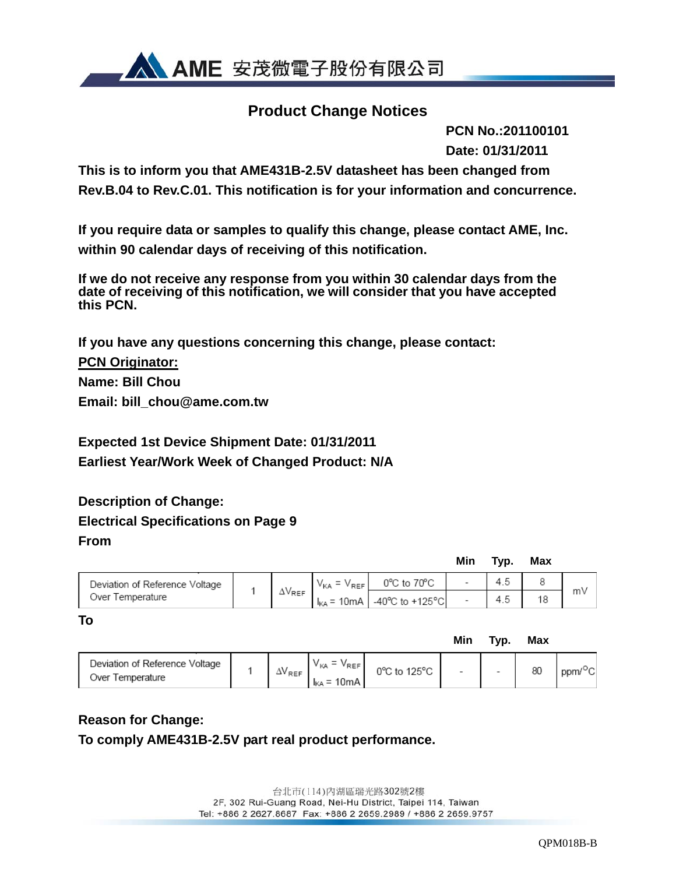

### **Product Change Notices**

 **PCN No.:201100101 Date: 01/31/2011**

**This is to inform you that AME431B-2.5V datasheet has been changed from Rev.B.04 to Rev.C.01. This notification is for your information and concurrence.** 

**If you require data or samples to qualify this change, please contact AME, Inc. within 90 calendar days of receiving of this notification.** 

**If we do not receive any response from you within 30 calendar days from the date of receiving of this notification, we will consider that you have accepted this PCN.** 

**If you have any questions concerning this change, please contact: PCN Originator: Name: Bill Chou Email: bill\_chou@ame.com.tw** 

**Expected 1st Device Shipment Date: 01/31/2011 Earliest Year/Work Week of Changed Product: N/A** 

## **Description of Change: Electrical Specifications on Page 9 From**

|                                |                  |                    |                                                        | Min | Typ. | <b>Max</b> |    |
|--------------------------------|------------------|--------------------|--------------------------------------------------------|-----|------|------------|----|
| Deviation of Reference Voltage | $\Delta V_{REF}$ | $V_{KA} = V_{REF}$ | 0°C to 70°C                                            |     |      |            |    |
| Over Temperature               |                  |                    | $I_{\text{KA}}$ = 10mA $\vert$ -40°C to +125°C $\vert$ |     | 4.5  |            | m٧ |

**Min Typ. Max**   $V_{KA}$  =  $V_{REF}$  0°C to 125°C<br> $V_{KA}$  = 10mA Deviation of Reference Voltage  $\Delta\!{\sf V}_{\sf REF}$ ppm/<sup>o</sup>C 80 Over Temperature

### **Reason for Change:**

**To** 

**To comply AME431B-2.5V part real product performance.** 

台北市(114) 內湖區瑞光路302號2樓 2F, 302 Rui-Guang Road, Nei-Hu District, Taipei 114, Taiwan Tel: +886 2 2627.8687 Fax: +886 2 2659.2989 / +886 2 2659.9757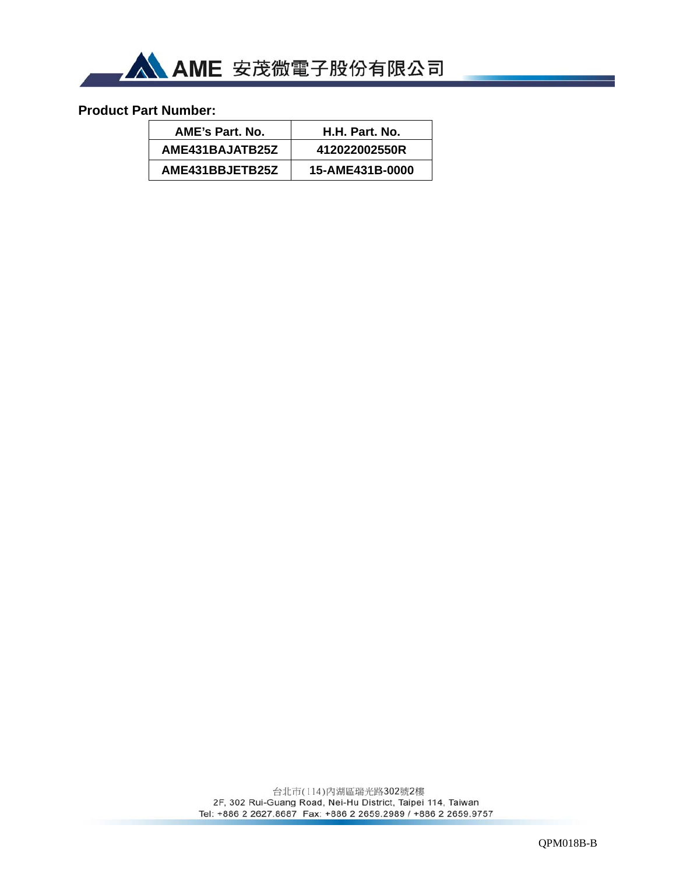

### **Product Part Number:**

| AME's Part. No. | H.H. Part. No.  |
|-----------------|-----------------|
| AME431BAJATB25Z | 412022002550R   |
| AME431BBJETB25Z | 15-AME431B-0000 |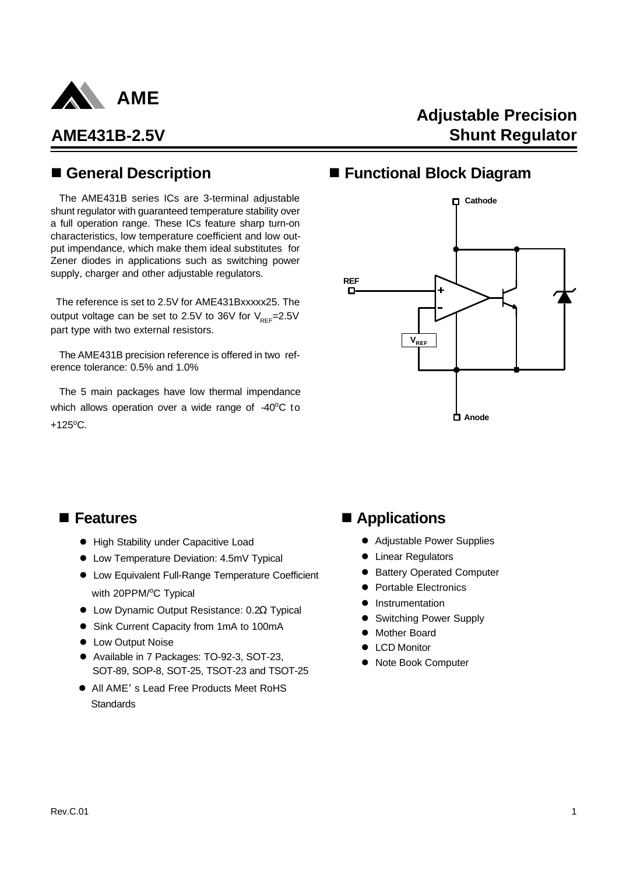

**Adjustable Precision Shunt Regulator**

## n **General Description**

The AME431B series ICs are 3-terminal adjustable shunt regulator with guaranteed temperature stability over a full operation range. These ICs feature sharp turn-on characteristics, low temperature coefficient and low output impendance, which make them ideal substitutes for Zener diodes in applications such as switching power supply, charger and other adjustable regulators.

 The reference is set to 2.5V for AME431Bxxxxx25. The output voltage can be set to 2.5V to 36V for  $V_{\text{per}}=2.5V$ part type with two external resistors.

The AME431B precision reference is offered in two reference tolerance: 0.5% and 1.0%

The 5 main packages have low thermal impendance which allows operation over a wide range of  $-40^{\circ}$ C to  $+125^{\circ}$ C.

## ■ Functional Block Diagram



- **High Stability under Capacitive Load**
- **Low Temperature Deviation: 4.5mV Typical**
- **Low Equivalent Full-Range Temperature Coefficient** with 20PPM/<sup>o</sup>C Typical
- <sup>•</sup> Low Dynamic Output Resistance: 0.2Ω Typical
- Sink Current Capacity from 1mA to 100mA
- Low Output Noise
- Available in 7 Packages: TO-92-3, SOT-23, SOT-89, SOP-8, SOT-25, TSOT-23 and TSOT-25
- All AME's Lead Free Products Meet RoHS **Standards**

## ■ Features **n** Applications

- Adjustable Power Supplies
- Linear Regulators
- **Battery Operated Computer**
- Portable Electronics
- **Instrumentation**
- **Switching Power Supply**
- Mother Board
- **•** LCD Monitor
- Note Book Computer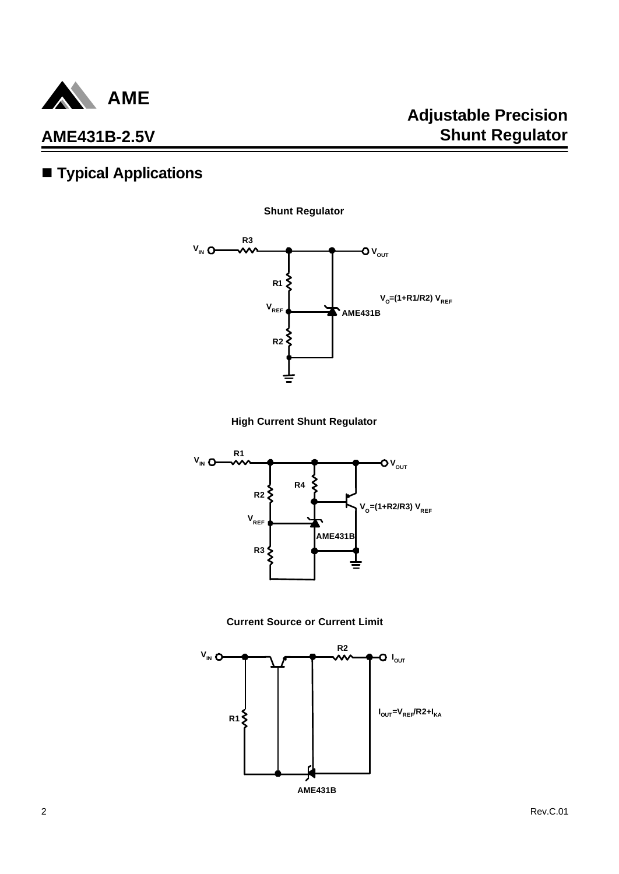

# $\blacksquare$  Typical Applications

**Shunt Regulator**



**High Current Shunt Regulator**





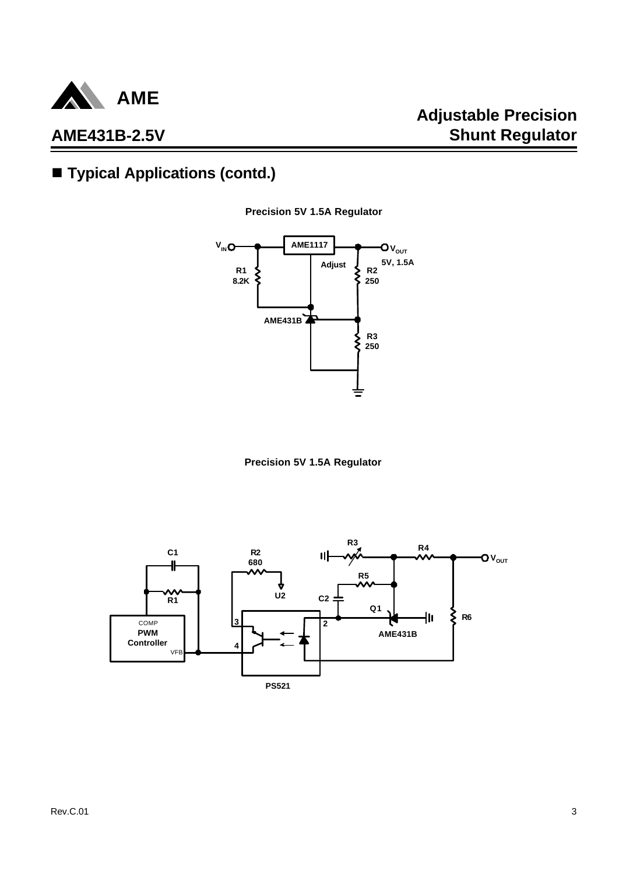

# ■ **Typical Applications (contd.)**





**Precision 5V 1.5A Regulator**

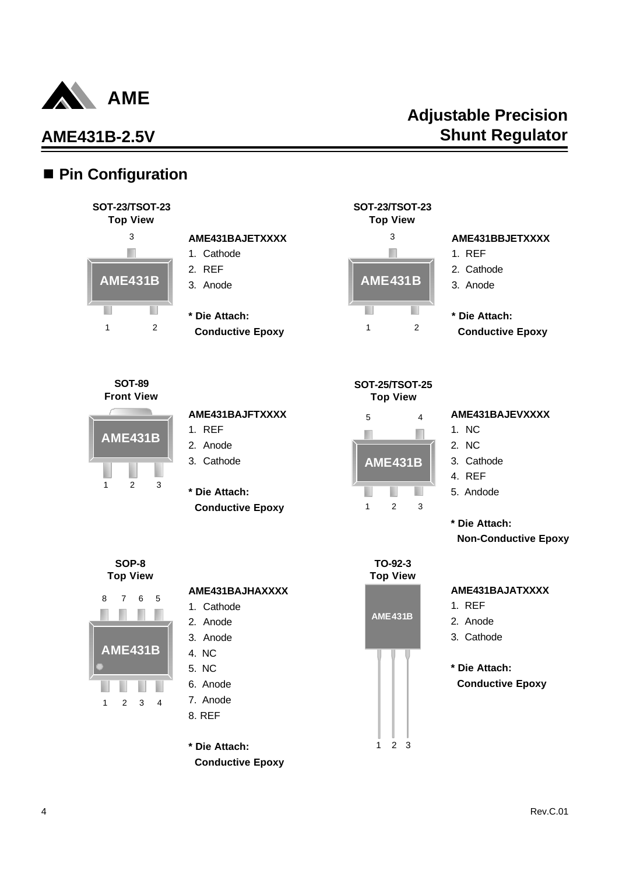

## ■ Pin Configuration

### **SOT-23/TSOT-23 Top View** 3 T. **AME431B** п 1 2

#### **AME431BAJETXXXX** 1. Cathode

- 2. REF
- 3. Anode
- **\* Die Attach:**
- **Conductive Epoxy**



**SOT-23/TSOT-23**

#### **AME431BBJETXXXX**

- 1. REF
- 2. Cathode
- 3. Anode
- **\* Die Attach:**
- **Conductive Epoxy**



## **AME431BAJFTXXXX**

- 1. REF
- 2. Anode
- 3. Cathode
- **\* Die Attach: Conductive Epoxy**



**SOT-25/TSOT-25**

#### **AME431BAJEVXXXX**

- 1. NC
- 2. NC
- 3. Cathode
- 4. REF
- 5. Andode
- **\* Die Attach: Non-Conductive Epoxy**

#### **SOP-8 Top View**

1 2 3

**AME431B**



#### **AME431BAJHAXXXX**

- 1. Cathode
- 2. Anode
- 3. Anode
- 4. NC
- 5. NC
- 6. Anode
- 7. Anode
- 8. REF

**\* Die Attach: Conductive Epoxy**

**TO-92-3 Top View**  $1 \t2 \t3$ **AME431B**

### **AME431BAJATXXXX**

- 1. REF
- 2. Anode
- 3. Cathode
- **\* Die Attach: Conductive Epoxy**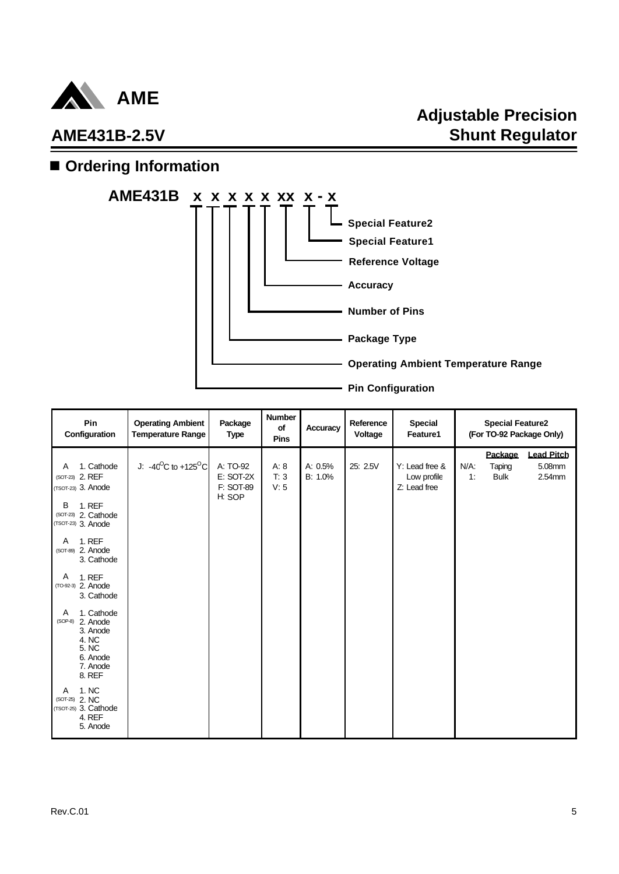

# **Adjustable Precision Shunt Regulator**

## $\blacksquare$  Ordering Information



| Pin<br>Configuration                                                                                                                                                                                                                                                                                                                                                                                                         | <b>Operating Ambient</b><br><b>Temperature Range</b> | Package<br><b>Type</b>                       | Number<br>of<br>Pins | Accuracy           | Reference<br>Voltage | <b>Special</b><br>Feature1                    |               | <b>Special Feature2</b><br>(For TO-92 Package Only) |                                       |
|------------------------------------------------------------------------------------------------------------------------------------------------------------------------------------------------------------------------------------------------------------------------------------------------------------------------------------------------------------------------------------------------------------------------------|------------------------------------------------------|----------------------------------------------|----------------------|--------------------|----------------------|-----------------------------------------------|---------------|-----------------------------------------------------|---------------------------------------|
| 1. Cathode<br>Α<br>(SOT-23) 2. REF<br>(TSOT-23) 3. Anode<br><b>1. REF</b><br>В<br>(SOT-23) 2. Cathode<br>(TSOT-23) 3. Anode<br><b>1. REF</b><br>Α<br>(SOT-89) 2. Anode<br>3. Cathode<br>A<br><b>1. REF</b><br>(TO-92-3) 2. Anode<br>3. Cathode<br>1. Cathode<br>Α<br>2. Anode<br>$(SOP-8)$<br>3. Anode<br>4. NC<br>5. NC<br>6. Anode<br>7. Anode<br>8. REF<br>1. NC<br>Α<br>(SOT-25) 2. NC<br>(TSOT-25) 3. Cathode<br>4. REF | J: $-40^{\circ}$ C to +125 $^{\circ}$ C              | A: TO-92<br>E: SOT-2X<br>F: SOT-89<br>H: SOP | A: 8<br>T: 3<br>V: 5 | A: 0.5%<br>B: 1.0% | 25: 2.5V             | Y: Lead free &<br>Low profile<br>Z: Lead free | $N/A$ :<br>1: | Package<br>Taping<br><b>Bulk</b>                    | <b>Lead Pitch</b><br>5.08mm<br>2.54mm |
| 5. Anode                                                                                                                                                                                                                                                                                                                                                                                                                     |                                                      |                                              |                      |                    |                      |                                               |               |                                                     |                                       |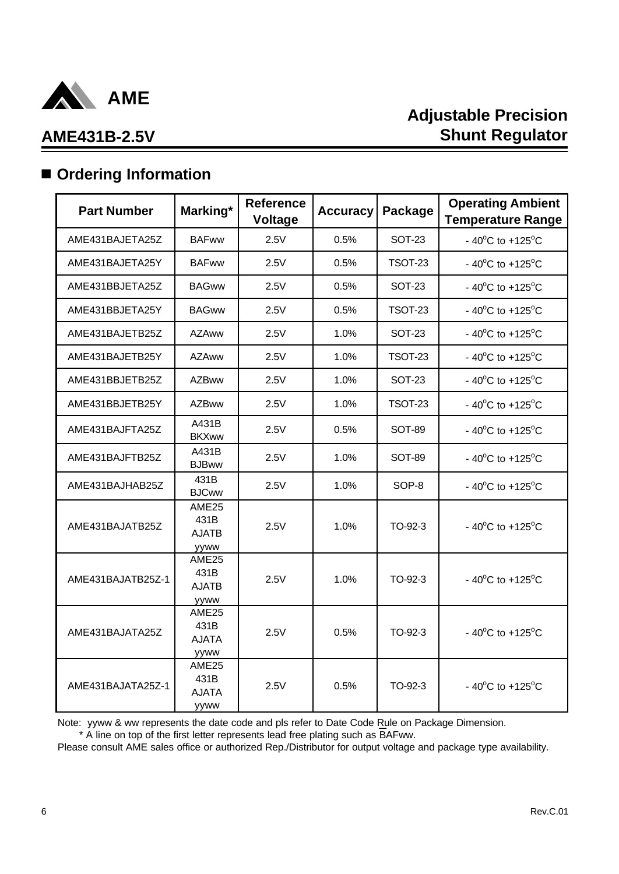

## $\blacksquare$  Ordering Information

| <b>Part Number</b> | Marking*                                                 | <b>Reference</b><br><b>Voltage</b> | <b>Accuracy</b> | Package        | <b>Operating Ambient</b><br><b>Temperature Range</b> |
|--------------------|----------------------------------------------------------|------------------------------------|-----------------|----------------|------------------------------------------------------|
| AME431BAJETA25Z    | <b>BAFww</b>                                             | 2.5V                               | 0.5%            | <b>SOT-23</b>  | $-40^{\circ}$ C to $+125^{\circ}$ C                  |
| AME431BAJETA25Y    | <b>BAFww</b>                                             | 2.5V                               | 0.5%            | <b>TSOT-23</b> | $-40^{\circ}$ C to $+125^{\circ}$ C                  |
| AME431BBJETA25Z    | <b>BAGww</b>                                             | 2.5V                               | 0.5%            | <b>SOT-23</b>  | $-40^{\circ}$ C to $+125^{\circ}$ C                  |
| AME431BBJETA25Y    | <b>BAGww</b>                                             | 2.5V                               | 0.5%            | <b>TSOT-23</b> | - 40 $^{\circ}$ C to +125 $^{\circ}$ C               |
| AME431BAJETB25Z    | <b>AZAww</b>                                             | 2.5V                               | 1.0%            | <b>SOT-23</b>  | $-40^{\circ}$ C to $+125^{\circ}$ C                  |
| AME431BAJETB25Y    | <b>AZAww</b>                                             | 2.5V                               | 1.0%            | <b>TSOT-23</b> | $-40^{\circ}$ C to $+125^{\circ}$ C                  |
| AME431BBJETB25Z    | <b>AZBww</b>                                             | 2.5V                               | 1.0%            | <b>SOT-23</b>  | $-40^{\circ}$ C to $+125^{\circ}$ C                  |
| AME431BBJETB25Y    | <b>AZBww</b>                                             | 2.5V                               | 1.0%            | <b>TSOT-23</b> | $-40^{\circ}$ C to $+125^{\circ}$ C                  |
| AME431BAJFTA25Z    | A431B<br><b>BKXww</b>                                    | 2.5V                               | 0.5%            | SOT-89         | $-40^{\circ}$ C to $+125^{\circ}$ C                  |
| AME431BAJFTB25Z    | A431B<br><b>BJBww</b>                                    | 2.5V                               | 1.0%            | <b>SOT-89</b>  | $-40^{\circ}$ C to $+125^{\circ}$ C                  |
| AME431BAJHAB25Z    | 431B<br><b>BJCww</b>                                     | 2.5V                               | 1.0%            | SOP-8          | $-40^{\circ}$ C to $+125^{\circ}$ C                  |
| AME431BAJATB25Z    | AME <sub>25</sub><br>431B<br><b>AJATB</b><br>yyww        | 2.5V                               | 1.0%            | TO-92-3        | $-40^{\circ}$ C to $+125^{\circ}$ C                  |
| AME431BAJATB25Z-1  | AME <sub>25</sub><br>431B<br><b>AJATB</b><br><b>VYWW</b> | 2.5V                               | 1.0%            | TO-92-3        | $-40^{\circ}$ C to $+125^{\circ}$ C                  |
| AME431BAJATA25Z    | AME <sub>25</sub><br>431B<br><b>AJATA</b><br>yyww        | 2.5V                               | 0.5%            | TO-92-3        | $-40^{\circ}$ C to $+125^{\circ}$ C                  |
| AME431BAJATA25Z-1  | AME25<br>431B<br><b>AJATA</b><br>yyww                    | 2.5V                               | 0.5%            | TO-92-3        | $-40^{\circ}$ C to $+125^{\circ}$ C                  |

Note: yyww & ww represents the date code and pls refer to Date Code Rule on Package Dimension.

\* A line on top of the first letter represents lead free plating such as BAFww.

Please consult AME sales office or authorized Rep./Distributor for output voltage and package type availability.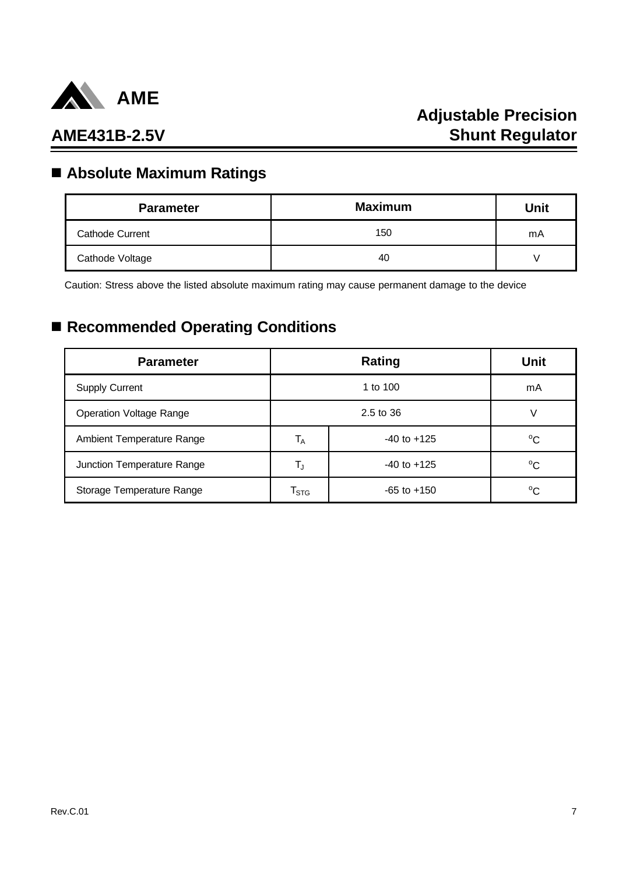

# **Adjustable Precision Shunt Regulator**

## **AME431B-2.5V**

# n **Absolute Maximum Ratings**

| <b>Maximum</b><br><b>Parameter</b> |     | Unit |
|------------------------------------|-----|------|
| <b>Cathode Current</b>             | 150 | mA   |
| Cathode Voltage                    | 40  |      |

Caution: Stress above the listed absolute maximum rating may cause permanent damage to the device

# ■ Recommended Operating Conditions

| <b>Parameter</b>               |                           | <b>Unit</b>     |             |  |    |
|--------------------------------|---------------------------|-----------------|-------------|--|----|
| <b>Supply Current</b>          | 1 to 100                  |                 |             |  | mA |
| <b>Operation Voltage Range</b> |                           |                 |             |  |    |
| Ambient Temperature Range      | $T_A$                     | $-40$ to $+125$ |             |  |    |
| Junction Temperature Range     | TJ                        | $-40$ to $+125$ | $^{\circ}C$ |  |    |
| Storage Temperature Range      | $\mathsf{T}_{\text{STG}}$ | $-65$ to $+150$ | $^{\circ}C$ |  |    |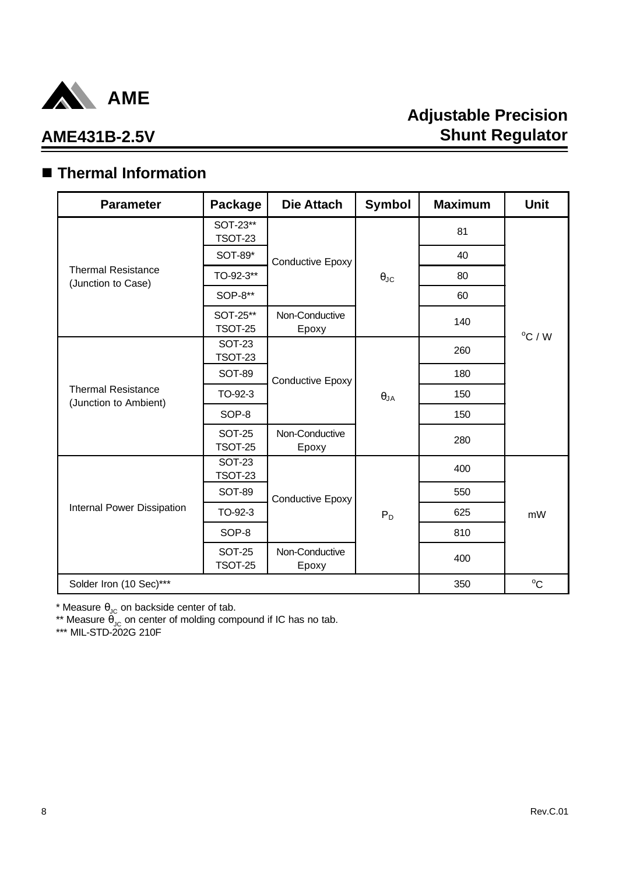

# n **Thermal Information**

| <b>Parameter</b>                                   | Package                         | <b>Die Attach</b>       | <b>Symbol</b>        | <b>Maximum</b> | <b>Unit</b>      |  |
|----------------------------------------------------|---------------------------------|-------------------------|----------------------|----------------|------------------|--|
|                                                    | SOT-23**<br><b>TSOT-23</b>      |                         |                      | 81             |                  |  |
|                                                    | SOT-89*                         | Conductive Epoxy        |                      | 40             |                  |  |
| <b>Thermal Resistance</b><br>(Junction to Case)    | TO-92-3**                       |                         | $\theta_{\text{JC}}$ | 80             |                  |  |
|                                                    | SOP-8**                         |                         |                      | 60             |                  |  |
|                                                    | SOT-25**<br><b>TSOT-25</b>      | Non-Conductive<br>Epoxy |                      | 140            |                  |  |
|                                                    | <b>SOT-23</b><br><b>TSOT-23</b> |                         |                      | 260            | $^{\circ}$ C / W |  |
|                                                    | <b>SOT-89</b>                   | Conductive Epoxy        | $\theta_{JA}$        | 180            |                  |  |
| <b>Thermal Resistance</b><br>(Junction to Ambient) | TO-92-3                         |                         |                      | 150            |                  |  |
|                                                    | SOP-8                           |                         |                      | 150            |                  |  |
|                                                    | <b>SOT-25</b><br><b>TSOT-25</b> | Non-Conductive<br>Epoxy |                      | 280            |                  |  |
|                                                    | <b>SOT-23</b><br><b>TSOT-23</b> |                         |                      | 400            |                  |  |
|                                                    | <b>SOT-89</b>                   | <b>Conductive Epoxy</b> |                      | 550            |                  |  |
| Internal Power Dissipation                         | TO-92-3                         |                         | $P_D$                | 625            | mW               |  |
|                                                    | SOP-8                           |                         |                      | 810            |                  |  |
|                                                    | <b>SOT-25</b><br><b>TSOT-25</b> | Non-Conductive<br>Epoxy |                      | 400            |                  |  |
| Solder Iron (10 Sec)***                            |                                 |                         |                      | 350            | $^{\circ}C$      |  |

\* Measure  $\theta_{\text{JC}}$  on backside center of tab.

\*\* Measure  $\theta_{\text{JC}}$  on center of molding compound if IC has no tab.

\*\*\* MIL-STD-202G 210F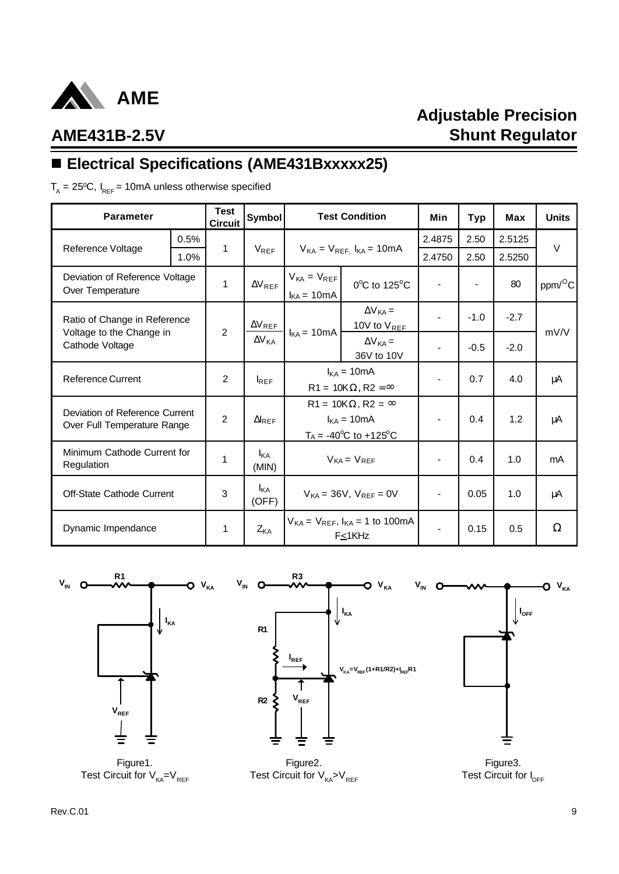

# **Adjustable Precision Shunt Regulator**

# **AME431B-2.5V**

# ■ Electrical Specifications (AME431Bxxxxx25)

 ${\sf T}_{\sf A}$  = 25ºC, I<sub>REF</sub> = 10mA unless otherwise specified

| <b>Parameter</b>                                              |      | <b>Test</b><br><b>Circuit</b> | Symbol                          |                                                                                                | <b>Test Condition</b>                                             | Min    | <b>Typ</b> | Max    | <b>Units</b>        |  |
|---------------------------------------------------------------|------|-------------------------------|---------------------------------|------------------------------------------------------------------------------------------------|-------------------------------------------------------------------|--------|------------|--------|---------------------|--|
|                                                               | 0.5% |                               |                                 |                                                                                                |                                                                   | 2.4875 | 2.50       | 2.5125 |                     |  |
| Reference Voltage                                             | 1.0% | $\mathbf{1}$                  | $V_{REF}$                       |                                                                                                | $V_{KA} = V_{REF}$ , $I_{KA} = 10mA$                              |        | 2.50       | 2.5250 | V                   |  |
| Deviation of Reference Voltage<br>Over Temperature            |      | $\mathbf{1}$                  | $\Delta V_{REF}$                | $V_{KA} = V_{REF}$<br>$I_{KA} = 10mA$                                                          | 0°C to 125°C                                                      |        |            | 80     | ppm/ <sup>O</sup> C |  |
| Ratio of Change in Reference                                  |      | 2                             | $\Delta V_{REF}$                |                                                                                                | $\Delta V_{KA}$ =<br>10V to $V_{REF}$                             |        | $-1.0$     | $-2.7$ | mV/V                |  |
| Voltage to the Change in<br>Cathode Voltage                   |      |                               | $\Delta V_{KA}$                 |                                                                                                | $I_{KA} = 10mA$<br>$\Delta V_{KA}$ =<br>36V to 10V                |        |            | $-0.5$ | $-2.0$              |  |
| <b>Reference Current</b>                                      |      | 2                             | $I_{REF}$                       | $I_{KA}$ = 10mA<br>$R1 = 10K\Omega$ , $R2 = \infty$                                            |                                                                   |        | 0.7        | 4.0    | μA                  |  |
| Deviation of Reference Current<br>Over Full Temperature Range |      | 2                             | $\Delta I_{REF}$                | $R1 = 10K\Omega$ , $R2 = \infty$<br>$I_{KA}$ = 10mA<br>$T_A = -40^{\circ}C$ to $+125^{\circ}C$ |                                                                   |        | 0.4        | 1.2    | μA                  |  |
| Minimum Cathode Current for<br>Regulation                     |      | 1                             | $I_{\mathsf{KA}}$<br>(MIN)      | $V_{KA} = V_{REF}$                                                                             |                                                                   |        | 0.4        | 1.0    | mA                  |  |
| <b>Off-State Cathode Current</b>                              |      | 3                             | <b>I</b> <sub>KA</sub><br>(OFF) | $V_{KA} = 36V$ , $V_{REF} = 0V$                                                                |                                                                   |        | 0.05       | 1.0    | μA                  |  |
| Dynamic Impendance                                            |      | 1                             | Z <sub>KA</sub>                 |                                                                                                | $V_{KA} = V_{REF}$ , $I_{KA} = 1$ to 100mA<br>F <sub>≤</sub> 1KHz |        | 0.15       | 0.5    | Ω                   |  |



Figure1. Test Circuit for  $V_{KA} = V_{REF}$ 

Figure2. Test Circuit for  $V_{KA} > V_{REF}$ 

Figure3. Test Circuit for I<sub>OFF</sub>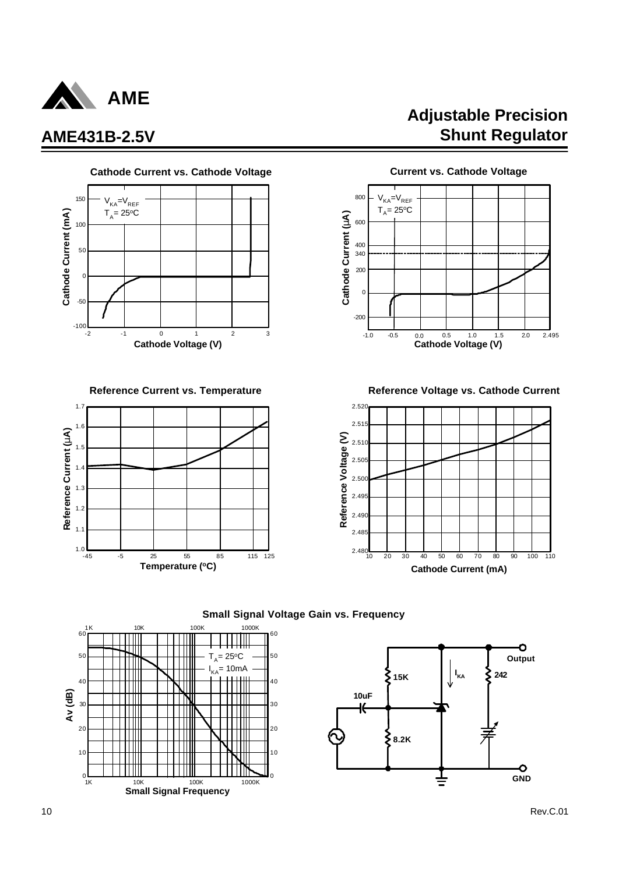





**Adjustable Precision AME431B-2.5V Shunt Regulator**



Reference Current vs. Temperature **Reference Voltage vs. Cathode Current** 







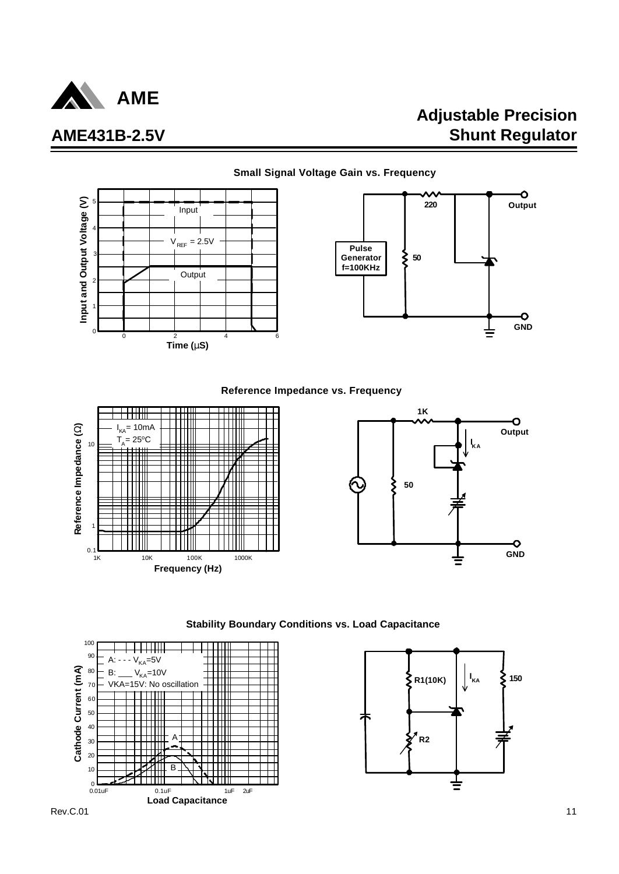

# **Adjustable Precision Shunt Regulator**



#### **Stability Boundary Conditions vs. Load Capacitance**



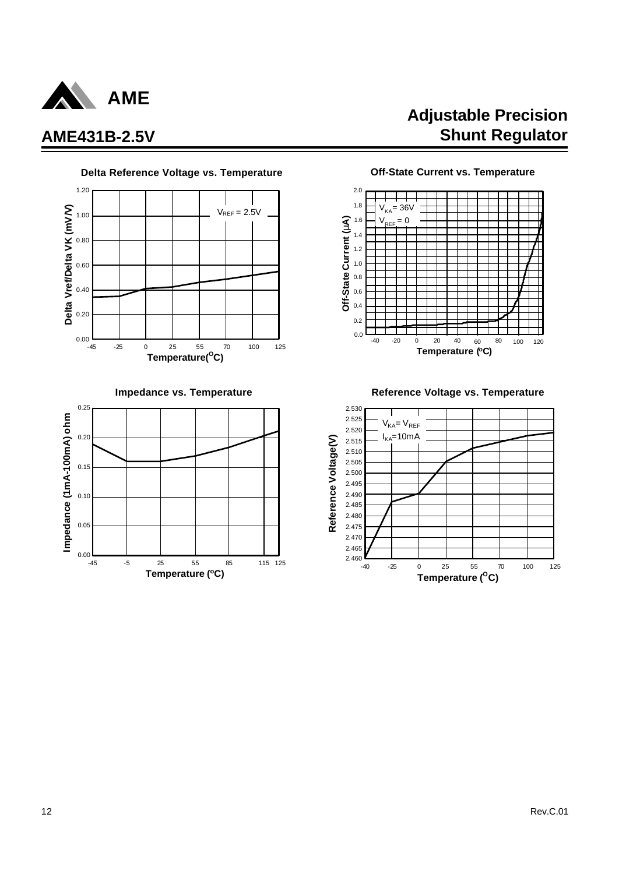







**Impedance vs. Temperature Reference Voltage vs. Temperature** 

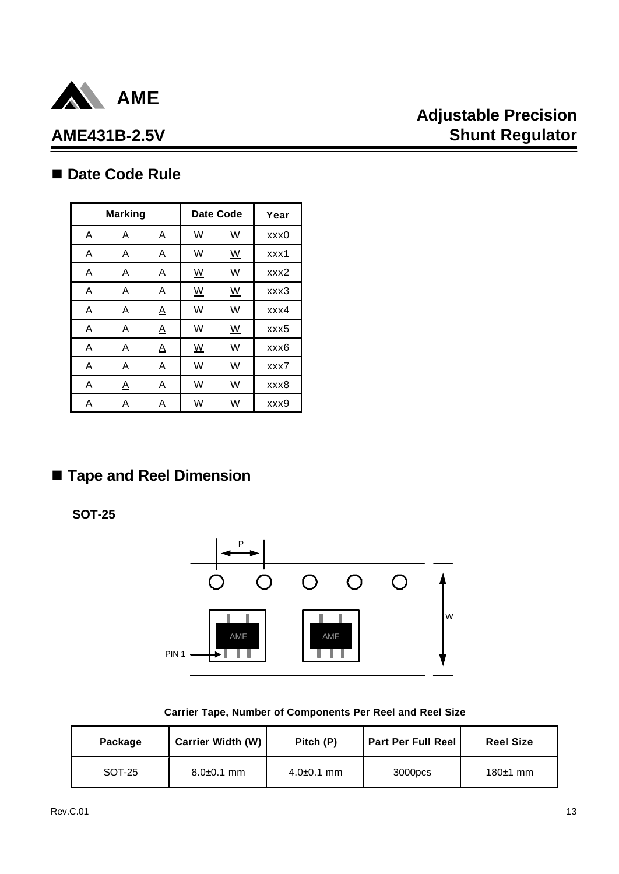

# **Adjustable Precision Shunt Regulator**

## ■ Date Code Rule

|   | <b>Marking</b> |                          |                          | <b>Date Code</b>         | Year |
|---|----------------|--------------------------|--------------------------|--------------------------|------|
| A | A              | A                        | W                        | W                        | xxx0 |
| A | A              | A                        | W                        | $\underline{\mathsf{W}}$ | xxx1 |
| A | A              | Α                        | <u>W</u>                 | W                        | xxx2 |
| A | A              | A                        | $\underline{\mathsf{W}}$ | $\underline{\mathsf{W}}$ | xxx3 |
| A | A              | <u>A</u>                 | W                        | W                        | xxx4 |
| A | A              | $\underline{\mathsf{A}}$ | W                        | $\underline{\mathsf{W}}$ | xxx5 |
| A | A              | <u>A</u>                 | $\underline{\mathsf{W}}$ | W                        | xxx6 |
| A | A              | <u>A</u>                 | $\underline{\mathsf{W}}$ | $\underline{\mathsf{W}}$ | xxx7 |
| A | <u>A</u>       | Α                        | W                        | W                        | xxx8 |
| Α | A              | Α                        | W                        | W                        | xxx9 |

# n **Tape and Reel Dimension**

**SOT-25**



|  |  | Carrier Tape, Number of Components Per Reel and Reel Size |  |  |  |
|--|--|-----------------------------------------------------------|--|--|--|
|--|--|-----------------------------------------------------------|--|--|--|

| Package | <b>Carrier Width (W)</b> | Pitch (P)      | <b>Part Per Full Reel</b> | <b>Reel Size</b> |
|---------|--------------------------|----------------|---------------------------|------------------|
| SOT-25  | $8.0 + 0.1$ mm           | $4.0 + 0.1$ mm | 3000pcs                   | $180±1$ mm       |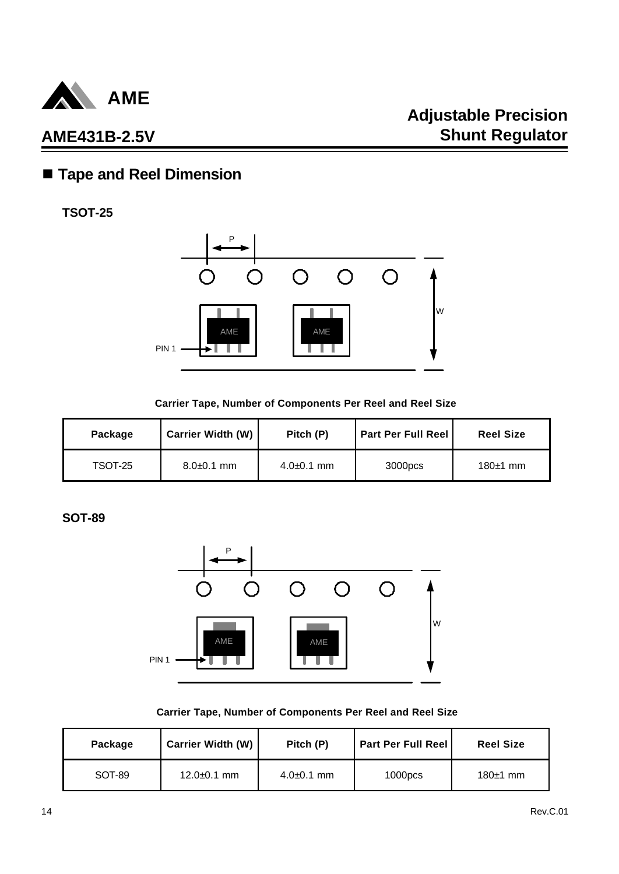

## n **Tape and Reel Dimension**

**TSOT-25**



#### **Carrier Tape, Number of Components Per Reel and Reel Size**

| Package | Carrier Width (W) | Pitch (P)      | <b>Part Per Full Reel</b> | <b>Reel Size</b> |
|---------|-------------------|----------------|---------------------------|------------------|
| TSOT-25 | $8.0 + 0.1$ mm    | $4.0 + 0.1$ mm | 3000pcs                   | 180 $\pm$ 1 mm   |

**SOT-89**



#### **Carrier Tape, Number of Components Per Reel and Reel Size**

| Package | Carrier Width (W) | Pitch (P)      | <b>Part Per Full Reel</b> | <b>Reel Size</b> |
|---------|-------------------|----------------|---------------------------|------------------|
| SOT-89  | $12.0 + 0.1$ mm   | $4.0 + 0.1$ mm | 1000 <sub>DCS</sub>       | $180±1$ mm       |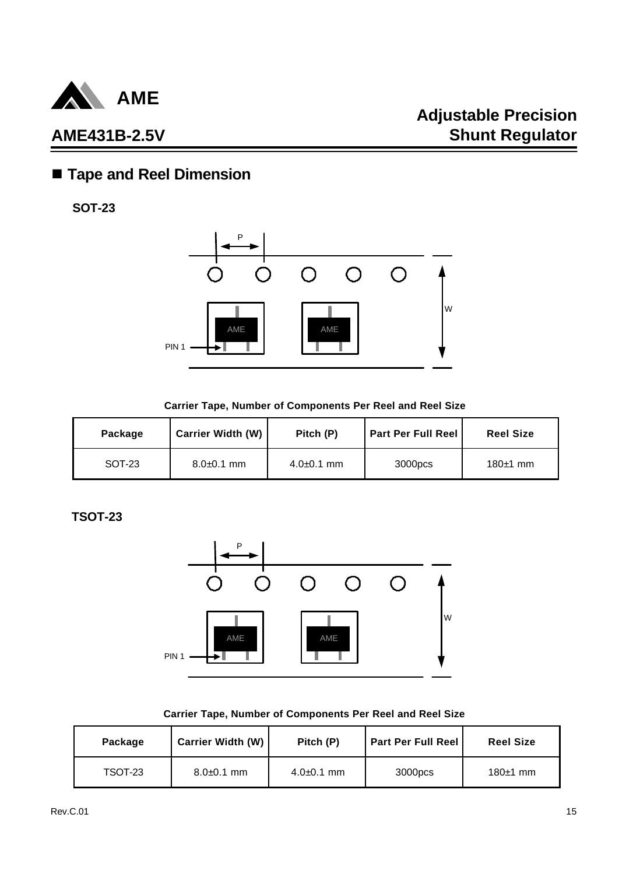

# n **Tape and Reel Dimension**

**SOT-23**



#### **Carrier Tape, Number of Components Per Reel and Reel Size**

| Package | <b>Carrier Width (W)</b> | Pitch (P)      | <b>Part Per Full Reel</b> | <b>Reel Size</b> |
|---------|--------------------------|----------------|---------------------------|------------------|
| SOT-23  | $8.0\pm 0.1$ mm          | $4.0 + 0.1$ mm | 3000pcs                   | 180 $\pm$ 1 mm   |

**TSOT-23**



#### **Carrier Tape, Number of Components Per Reel and Reel Size**

| Package | <b>Carrier Width (W)</b> | Pitch (P)      | <b>Part Per Full Reel</b> | <b>Reel Size</b> |
|---------|--------------------------|----------------|---------------------------|------------------|
| TSOT-23 | $8.0\pm 0.1$ mm          | $4.0 + 0.1$ mm | 3000pcs                   | $180±1$ mm       |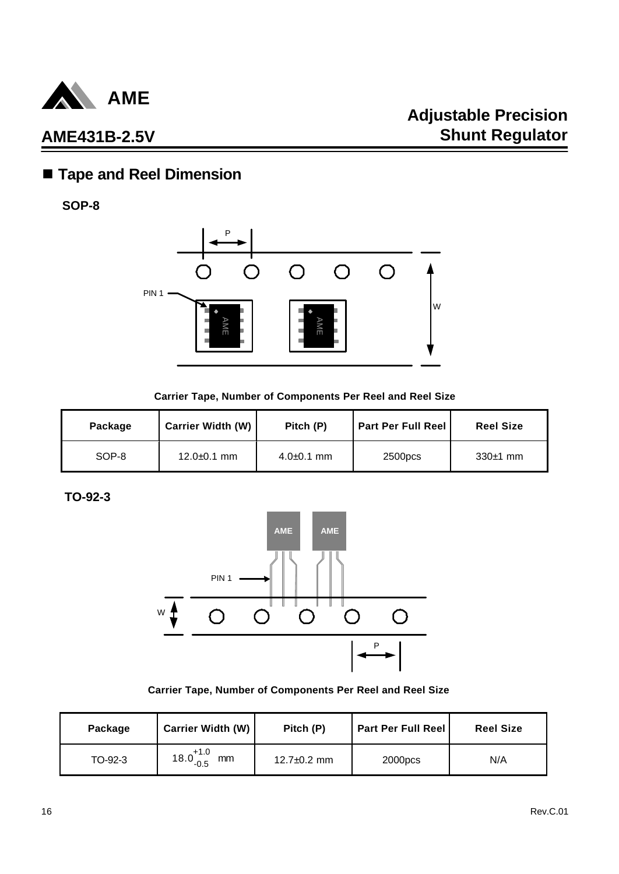

## n **Tape and Reel Dimension**

**SOP-8**



#### **Carrier Tape, Number of Components Per Reel and Reel Size**

| Package | <b>Carrier Width (W)</b> | Pitch (P)      | <b>Part Per Full Reel</b> | <b>Reel Size</b> |
|---------|--------------------------|----------------|---------------------------|------------------|
| SOP-8   | $12.0 \pm 0.1$ mm        | $4.0 + 0.1$ mm | 2500pcs                   | $330±1$ mm       |

### **TO-92-3**



#### **Carrier Tape, Number of Components Per Reel and Reel Size**

| Package | Carrier Width (W)          | Pitch (P)         | <b>Part Per Full Reel</b> | <b>Reel Size</b> |
|---------|----------------------------|-------------------|---------------------------|------------------|
| TO-92-3 | $18.0^{+1.0}_{-0.5}$<br>mm | $12.7 \pm 0.2$ mm | 2000 <sub>DCS</sub>       | N/A              |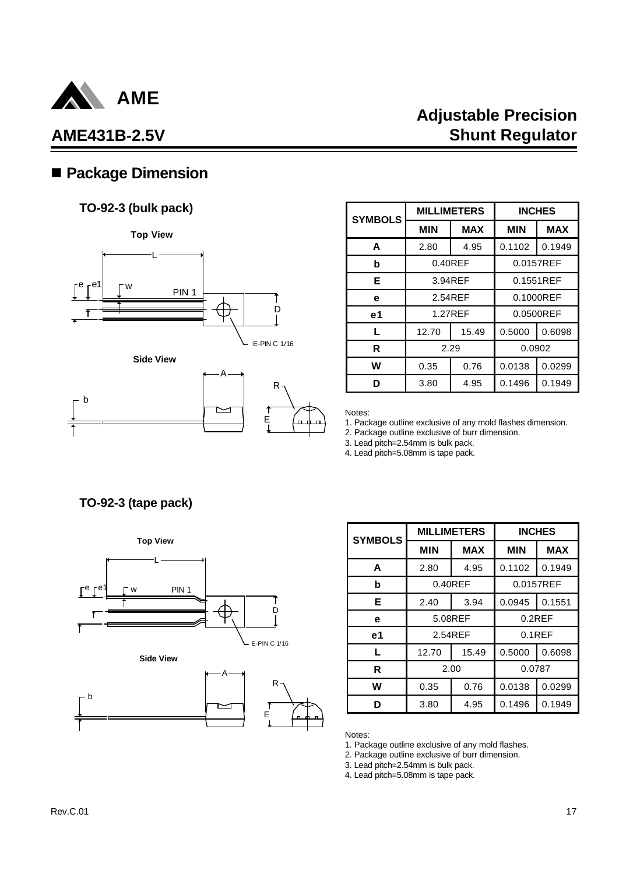

b

# **Adjustable Precision Shunt Regulator**

## n **Package Dimension**

### **TO-92-3 (bulk pack)**

**Top View**







| <b>SYMBOLS</b> |            | <b>MILLIMETERS</b> | <b>INCHES</b> |            |
|----------------|------------|--------------------|---------------|------------|
|                | <b>MIN</b> | <b>MAX</b>         | <b>MIN</b>    | <b>MAX</b> |
| A              | 2.80       | 4.95               | 0.1102        | 0.1949     |
| b              | $0.40$ REF |                    | 0.0157REF     |            |
| Е              | 3.94REF    |                    | 0.1551REF     |            |
| е              |            | 2.54REF            | 0.1000REF     |            |
| e <sub>1</sub> |            | 1.27REF            | 0.0500REF     |            |
| L              | 12.70      | 15.49              | 0.5000        | 0.6098     |
| R              | 2.29       |                    | 0.0902        |            |
| w              | 0.35       | 0.76               | 0.0138        | 0.0299     |
| ח              | 3.80       | 4.95               | 0.1496        | 0.1949     |

Notes:

1. Package outline exclusive of any mold flashes dimension.

2. Package outline exclusive of burr dimension.

3. Lead pitch=2.54mm is bulk pack.

4. Lead pitch=5.08mm is tape pack.

**TO-92-3 (tape pack)**



| <b>SYMBOLS</b> | <b>MILLIMETERS</b> |            | <b>INCHES</b> |            |
|----------------|--------------------|------------|---------------|------------|
|                | <b>MIN</b>         | <b>MAX</b> | <b>MIN</b>    | <b>MAX</b> |
| A              | 2.80               | 4.95       | 0.1102        | 0.1949     |
| b              | $0.40$ REF         |            | 0.0157REF     |            |
| Е              | 2.40               | 3.94       | 0.0945        | 0.1551     |
| е              | 5.08REF            |            | $0.2$ REF     |            |
| e1             |                    | 2.54REF    | $0.1$ REF     |            |
| L              | 12.70              | 15.49      | 0.5000        | 0.6098     |
| R              | 2.00               |            | 0.0787        |            |
| W              | 0.35               | 0.76       | 0.0138        | 0.0299     |
| ח              | 3.80               | 4.95       | 0.1496        | 0.1949     |

Notes:

1. Package outline exclusive of any mold flashes.

2. Package outline exclusive of burr dimension.

3. Lead pitch=2.54mm is bulk pack. 4. Lead pitch=5.08mm is tape pack.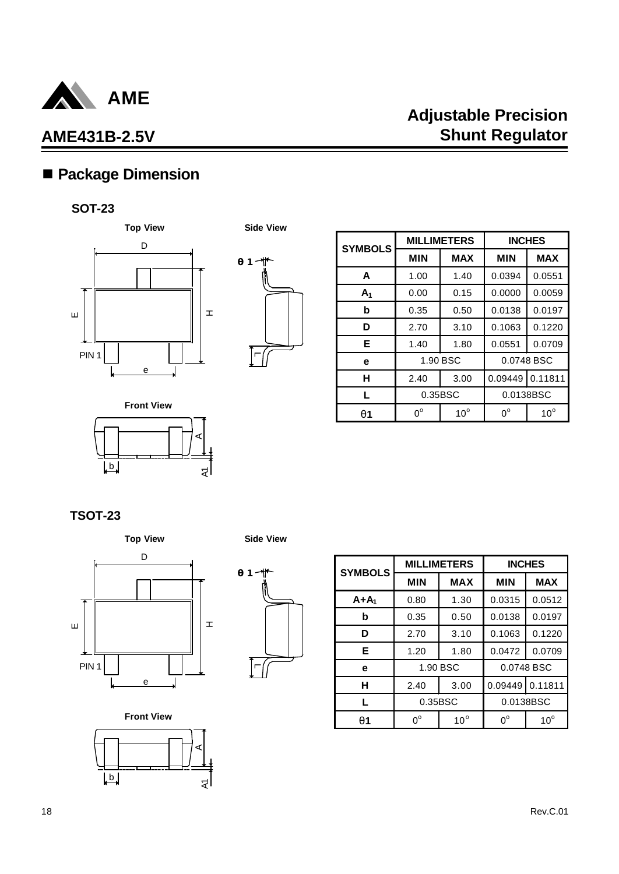

# n **Package Dimension**

### **SOT-23**





| <b>SYMBOLS</b> | <b>MILLIMETERS</b> |              | <b>INCHES</b> |              |
|----------------|--------------------|--------------|---------------|--------------|
|                | <b>MIN</b>         | <b>MAX</b>   | <b>MIN</b>    | <b>MAX</b>   |
| A              | 1.00               | 1.40         | 0.0394        | 0.0551       |
| A <sub>1</sub> | 0.00               | 0.15         | 0.0000        | 0.0059       |
| b              | 0.35               | 0.50         | 0.0138        | 0.0197       |
| D              | 2.70               | 3.10         | 0.1063        | 0.1220       |
| Е              | 1.40               | 1.80         | 0.0551        | 0.0709       |
| e              |                    | 1.90 BSC     |               | 0.0748 BSC   |
| н              | 2.40               | 3.00         | 0.09449       | 0.11811      |
| L              | 0.35BSC            |              |               | 0.0138BSC    |
| g1             | n°                 | $10^{\circ}$ | $0^{\circ}$   | $10^{\circ}$ |

b Aاچ **Front View**

### **TSOT-23**





| <b>SYMBOLS</b> | <b>MILLIMETERS</b> |              | <b>INCHES</b> |              |
|----------------|--------------------|--------------|---------------|--------------|
|                | <b>MIN</b>         | <b>MAX</b>   | <b>MIN</b>    | <b>MAX</b>   |
| $A+A_1$        | 0.80               | 1.30         | 0.0315        | 0.0512       |
| b              | 0.35               | 0.50         | 0.0138        | 0.0197       |
| D              | 2.70               | 3.10         | 0.1063        | 0.1220       |
| Е              | 1.20               | 1.80         | 0.0472        | 0.0709       |
| е              |                    | 1.90 BSC     |               | 0.0748 BSC   |
| н              | 2.40               | 3.00         | 0.09449       | 0.11811      |
| L              | 0.35BSC            |              |               | 0.0138BSC    |
| q1             | 0°                 | $10^{\circ}$ | $0^{\circ}$   | $10^{\circ}$ |

**Front View**

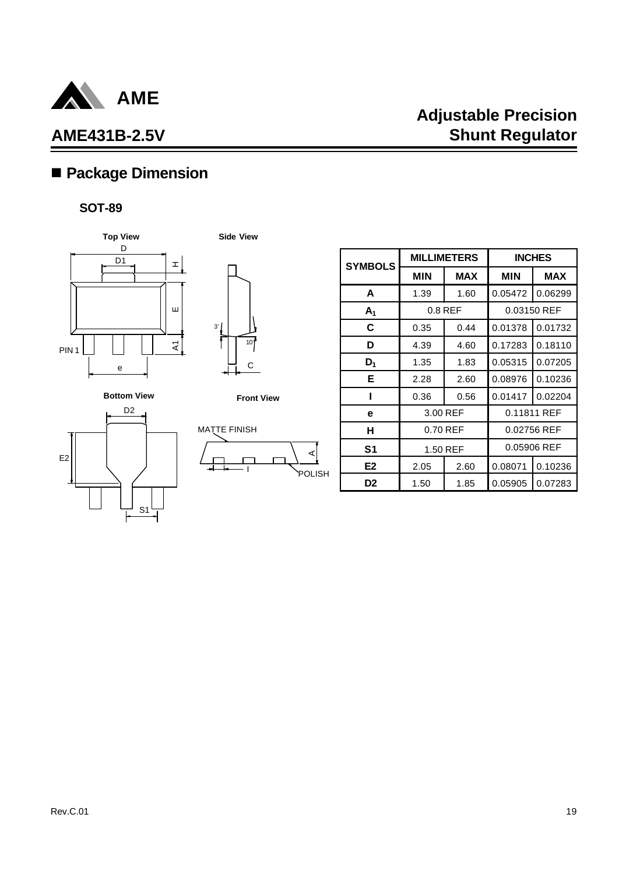

# **Adjustable Precision Shunt Regulator**

# n **Package Dimension**

### **SOT-89**



C 3' 10'

**Side View**

**Bottom View**







| <b>SYMBOLS</b> |            | <b>MILLIMETERS</b> |            | <b>INCHES</b> |
|----------------|------------|--------------------|------------|---------------|
|                | <b>MIN</b> | <b>MAX</b>         | <b>MIN</b> | <b>MAX</b>    |
| A              | 1.39       | 1.60               | 0.05472    | 0.06299       |
| A <sub>1</sub> |            | $0.8$ REF          |            | 0.03150 REF   |
| C              | 0.35       | 0.44               | 0.01378    | 0.01732       |
| D              | 4.39       | 4.60               | 0.17283    | 0.18110       |
| $D_1$          | 1.35       | 1.83               | 0.05315    | 0.07205       |
| Е              | 2.28       | 2.60               | 0.08976    | 0.10236       |
|                | 0.36       | 0.56               | 0.01417    | 0.02204       |
| е              | 3.00 REF   |                    |            | 0.11811 REF   |
| н              |            | 0.70 REF           |            | 0.02756 REF   |
| S <sub>1</sub> | 1.50 REF   |                    |            | 0.05906 REF   |
| E <sub>2</sub> | 2.05       | 2.60               | 0.08071    | 0.10236       |
| D <sub>2</sub> | 1.50       | 1.85               | 0.05905    | 0.07283       |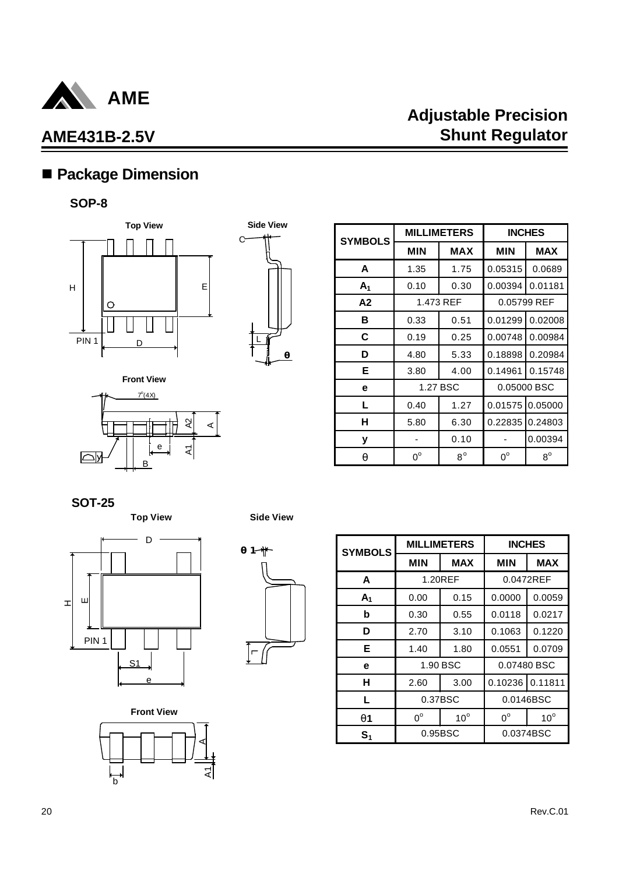

# n **Package Dimension**

### **SOP-8**









| <b>SYMBOLS</b> |             | <b>MILLIMETERS</b> | <b>INCHES</b> |             |
|----------------|-------------|--------------------|---------------|-------------|
|                | <b>MIN</b>  | <b>MAX</b>         | <b>MIN</b>    | <b>MAX</b>  |
| A              | 1.35        | 1.75               | 0.05315       | 0.0689      |
| A <sub>1</sub> | 0.10        | 0.30               | 0.00394       | 0.01181     |
| A2             |             | 1.473 REF          |               | 0.05799 REF |
| в              | 0.33        | 0.51               | 0.01299       | 0.02008     |
| С              | 0.19        | 0.25               | 0.00748       | 0.00984     |
| D              | 4.80        | 5.33               | 0.18898       | 0.20984     |
| Е              | 3.80        | 4.00               | 0.14961       | 0.15748     |
| е              |             | 1.27 BSC           |               | 0.05000 BSC |
| L              | 0.40        | 1.27               | 0.01575       | 0.05000     |
| н              | 5.80        | 6.30               | 0.22835       | 0.24803     |
| у              |             | 0.10               |               | 0.00394     |
| q              | $0^{\circ}$ | $8^{\circ}$        | $0^{\circ}$   | $8^{\circ}$ |

**SOT-25**





**Front View**

b

্ব<br>ব

A



| <b>SYMBOLS</b> |             | <b>MILLIMETERS</b> |             | <b>INCHES</b> |  |
|----------------|-------------|--------------------|-------------|---------------|--|
|                | <b>MIN</b>  | <b>MAX</b>         | <b>MIN</b>  | <b>MAX</b>    |  |
| A              |             | 1.20REF            |             | 0.0472REF     |  |
| A <sub>1</sub> | 0.00        | 0.15               | 0.0000      | 0.0059        |  |
| b              | 0.30        | 0.55               | 0.0118      | 0.0217        |  |
| D              | 2.70        | 3.10               | 0.1063      | 0.1220        |  |
| Е              | 1.40        | 1.80               | 0.0551      | 0.0709        |  |
| е              |             | 1.90 BSC           | 0.07480 BSC |               |  |
| н              | 2.60        | 3.00               | 0.10236     | 0.11811       |  |
| L              |             | 0.37BSC            |             | 0.0146BSC     |  |
| q1             | $0^{\circ}$ | $10^{\circ}$       | $0^{\circ}$ | $10^{\circ}$  |  |
| S <sub>1</sub> |             | 0.95BSC            |             | 0.0374BSC     |  |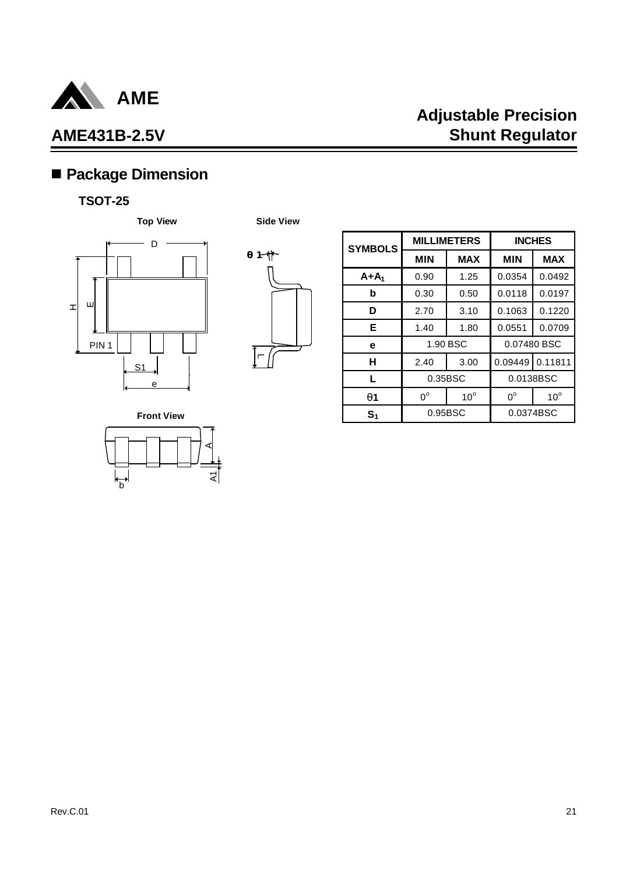

# **Adjustable Precision Shunt Regulator**

# n **Package Dimension**

### **TSOT-25**





| <b>SYMBOLS</b> | <b>MILLIMETERS</b> |              | <b>INCHES</b> |              |
|----------------|--------------------|--------------|---------------|--------------|
|                | <b>MIN</b>         | <b>MAX</b>   | <b>MIN</b>    | <b>MAX</b>   |
| $A+A_1$        | 0.90               | 1.25         | 0.0354        | 0.0492       |
| b              | 0.30               | 0.50         | 0.0118        | 0.0197       |
| D              | 2.70               | 3.10         | 0.1063        | 0.1220       |
| Е              | 1.40               | 1.80         | 0.0551        | 0.0709       |
| е              | 1.90 BSC           |              | 0.07480 BSC   |              |
| н              | 2.40               | 3.00         | 0.09449       | 0.11811      |
| L              | 0.35BSC            |              | 0.0138BSC     |              |
| <b>q</b> 1     | $0^{\circ}$        | $10^{\circ}$ | $0^{\circ}$   | $10^{\circ}$ |
| $\mathbf{S}_1$ | 0.95BSC            |              | 0.0374BSC     |              |

**Front View**